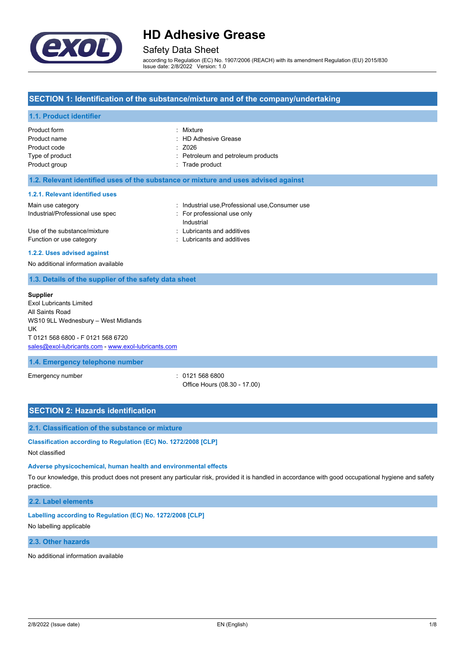

# Safety Data Sheet

according to Regulation (EC) No. 1907/2006 (REACH) with its amendment Regulation (EU) 2015/830 Issue date: 2/8/2022 Version: 1.0

## **SECTION 1: Identification of the substance/mixture and of the company/undertaking**

### **1.1. Product identifier**

| Product form    | : Mixture                          |
|-----------------|------------------------------------|
| Product name    | : HD Adhesive Grease               |
| Product code    | $\therefore$ Z026                  |
| Type of product | : Petroleum and petroleum products |
| Product group   | : Trade product                    |
|                 |                                    |

#### **1.2. Relevant identified uses of the substance or mixture and uses advised against**

#### **1.2.1. Relevant identified uses**

| Main use category                | : Industrial use Professional use Consumer use |
|----------------------------------|------------------------------------------------|
| Industrial/Professional use spec | : For professional use only                    |
|                                  | Industrial                                     |
| Use of the substance/mixture     | : Lubricants and additives                     |
| Function or use category         | : Lubricants and additives                     |

#### **1.2.2. Uses advised against**

No additional information available

### **1.3. Details of the supplier of the safety data sheet**

#### **Supplier**

Exol Lubricants Limited All Saints Road WS10 9LL Wednesbury – West Midlands UK T 0121 568 6800 - F 0121 568 6720 [sales@exol-lubricants.com](mailto:sales@exol-lubricants.com) - [www.exol-lubricants.com](http://www.exol-lubricants.com/)

**1.4. Emergency telephone number**

Emergency number : 0121 568 6800

Office Hours (08.30 - 17.00)

## **SECTION 2: Hazards identification**

#### **2.1. Classification of the substance or mixture**

**Classification according to Regulation (EC) No. 1272/2008 [CLP]**

Not classified

#### **Adverse physicochemical, human health and environmental effects**

To our knowledge, this product does not present any particular risk, provided it is handled in accordance with good occupational hygiene and safety practice.

**2.2. Label elements**

**Labelling according to Regulation (EC) No. 1272/2008 [CLP]**

No labelling applicable

### **2.3. Other hazards**

No additional information available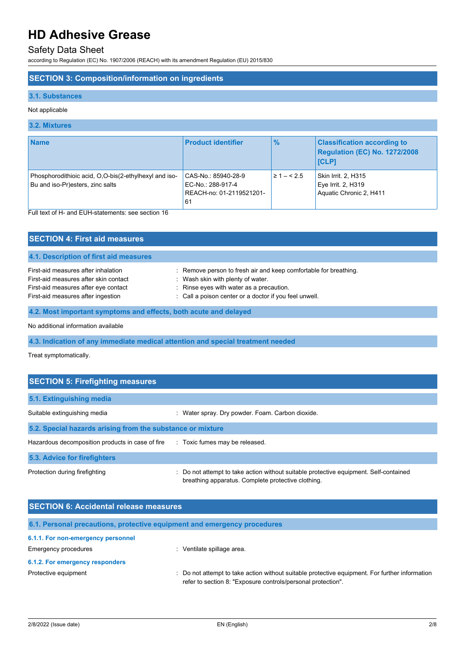# Safety Data Sheet

according to Regulation (EC) No. 1907/2006 (REACH) with its amendment Regulation (EU) 2015/830

# **SECTION 3: Composition/information on ingredients**

## **3.1. Substances**

## Not applicable

## **3.2. Mixtures**

| <b>Name</b>                                                                               | <b>Product identifier</b>                                                   | $\frac{9}{6}$  | <b>Classification according to</b><br>Regulation (EC) No. 1272/2008<br><b>ICLP1</b> |
|-------------------------------------------------------------------------------------------|-----------------------------------------------------------------------------|----------------|-------------------------------------------------------------------------------------|
| Phosphorodithioic acid, O,O-bis(2-ethylhexyl and iso-<br>Bu and iso-Pr)esters, zinc salts | CAS-No.: 85940-28-9<br>EC-No.: 288-917-4<br>REACH-no: 01-2119521201-<br>-61 | $\geq 1 - 5.5$ | Skin Irrit. 2, H315<br>Eye Irrit. 2, H319<br>Aquatic Chronic 2, H411                |

Full text of H- and EUH-statements: see section 16

| <b>SECTION 4: First aid measures</b>                                                                                                                       |                                                                                                                                                                                                             |  |
|------------------------------------------------------------------------------------------------------------------------------------------------------------|-------------------------------------------------------------------------------------------------------------------------------------------------------------------------------------------------------------|--|
| 4.1. Description of first aid measures                                                                                                                     |                                                                                                                                                                                                             |  |
| First-aid measures after inhalation<br>First-aid measures after skin contact<br>First-aid measures after eye contact<br>First-aid measures after ingestion | : Remove person to fresh air and keep comfortable for breathing.<br>: Wash skin with plenty of water.<br>: Rinse eyes with water as a precaution.<br>: Call a poison center or a doctor if you feel unwell. |  |
| 4.2. Most important symptoms and effects, both acute and delayed                                                                                           |                                                                                                                                                                                                             |  |
| No additional information available                                                                                                                        |                                                                                                                                                                                                             |  |

**4.3. Indication of any immediate medical attention and special treatment needed**

Treat symptomatically.

| <b>SECTION 5: Firefighting measures</b>                    |                                                                                                                                             |  |  |
|------------------------------------------------------------|---------------------------------------------------------------------------------------------------------------------------------------------|--|--|
| 5.1. Extinguishing media                                   |                                                                                                                                             |  |  |
| Suitable extinguishing media                               | : Water spray. Dry powder. Foam. Carbon dioxide.                                                                                            |  |  |
| 5.2. Special hazards arising from the substance or mixture |                                                                                                                                             |  |  |
| Hazardous decomposition products in case of fire           | : Toxic fumes may be released.                                                                                                              |  |  |
| 5.3. Advice for firefighters                               |                                                                                                                                             |  |  |
| Protection during firefighting                             | : Do not attempt to take action without suitable protective equipment. Self-contained<br>breathing apparatus. Complete protective clothing. |  |  |

| <b>SECTION 6: Accidental release measures</b> |                                                                                                                                                              |  |
|-----------------------------------------------|--------------------------------------------------------------------------------------------------------------------------------------------------------------|--|
|                                               | 6.1. Personal precautions, protective equipment and emergency procedures                                                                                     |  |
| 6.1.1. For non-emergency personnel            |                                                                                                                                                              |  |
| <b>Emergency procedures</b>                   | Ventilate spillage area.<br>۰.                                                                                                                               |  |
| 6.1.2. For emergency responders               |                                                                                                                                                              |  |
| Protective equipment                          | Do not attempt to take action without suitable protective equipment. For further information<br>refer to section 8: "Exposure controls/personal protection". |  |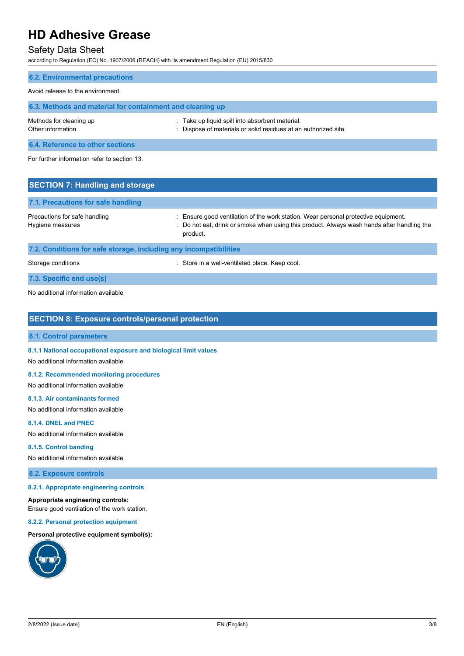# Safety Data Sheet

according to Regulation (EC) No. 1907/2006 (REACH) with its amendment Regulation (EU) 2015/830

| <b>6.2. Environmental precautions</b>                     |                                                                                                                    |  |
|-----------------------------------------------------------|--------------------------------------------------------------------------------------------------------------------|--|
| Avoid release to the environment.                         |                                                                                                                    |  |
| 6.3. Methods and material for containment and cleaning up |                                                                                                                    |  |
| Methods for cleaning up<br>Other information              | : Take up liquid spill into absorbent material.<br>: Dispose of materials or solid residues at an authorized site. |  |
| 6.4. Reference to other sections                          |                                                                                                                    |  |
| For further information refer to section 13.              |                                                                                                                    |  |
| <b>SECTION 7: Handling and storage</b>                    |                                                                                                                    |  |

| 7.1. Precautions for safe handling                                |                                                                                                                                                                                            |
|-------------------------------------------------------------------|--------------------------------------------------------------------------------------------------------------------------------------------------------------------------------------------|
| Precautions for safe handling<br>Hygiene measures                 | Ensure good ventilation of the work station. Wear personal protective equipment.<br>: Do not eat, drink or smoke when using this product. Always wash hands after handling the<br>product. |
| 7.2. Conditions for safe storage, including any incompatibilities |                                                                                                                                                                                            |

Storage conditions **Storage conditions** : Store in a well-ventilated place. Keep cool.

**7.3. Specific end use(s)**

No additional information available

## **SECTION 8: Exposure controls/personal protection**

## **8.1. Control parameters**

**8.1.1 National occupational exposure and biological limit values**

No additional information available

#### **8.1.2. Recommended monitoring procedures**

No additional information available

#### **8.1.3. Air contaminants formed**

No additional information available

### **8.1.4. DNEL and PNEC**

No additional information available

## **8.1.5. Control banding**

No additional information available

### **8.2. Exposure controls**

#### **8.2.1. Appropriate engineering controls**

#### **Appropriate engineering controls:**

Ensure good ventilation of the work station.

#### **8.2.2. Personal protection equipment**

## **Personal protective equipment symbol(s):**

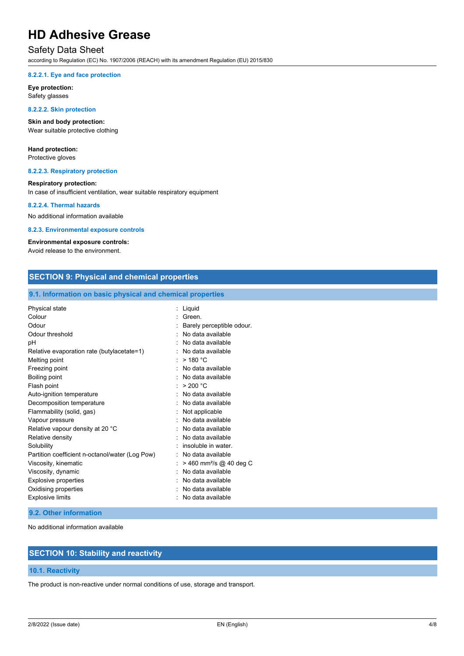# Safety Data Sheet

according to Regulation (EC) No. 1907/2006 (REACH) with its amendment Regulation (EU) 2015/830

#### **8.2.2.1. Eye and face protection**

**Eye protection:** Safety glasses

#### **8.2.2.2. Skin protection**

**Skin and body protection:** Wear suitable protective clothing

# **Hand protection:**

Protective gloves

#### **8.2.2.3. Respiratory protection**

### **Respiratory protection:**

In case of insufficient ventilation, wear suitable respiratory equipment

#### **8.2.2.4. Thermal hazards**

No additional information available

#### **8.2.3. Environmental exposure controls**

### **Environmental exposure controls:**

Avoid release to the environment.

| <b>SECTION 9: Physical and chemical properties</b>         |                                       |  |
|------------------------------------------------------------|---------------------------------------|--|
| 9.1. Information on basic physical and chemical properties |                                       |  |
| Physical state                                             | : Liquid                              |  |
| Colour                                                     | · Green                               |  |
| Odour                                                      | Barely perceptible odour.             |  |
| Odour threshold                                            | : No data available                   |  |
| pH                                                         | No data available                     |  |
| Relative evaporation rate (butylacetate=1)                 | : No data available                   |  |
| Melting point                                              | $>$ 180 °C                            |  |
| Freezing point                                             | : No data available                   |  |
| <b>Boiling point</b>                                       | : No data available                   |  |
| Flash point                                                | : $> 200 °C$                          |  |
| Auto-ignition temperature                                  | No data available                     |  |
| Decomposition temperature                                  | : No data available                   |  |
| Flammability (solid, gas)                                  | Not applicable                        |  |
| Vapour pressure                                            | No data available                     |  |
| Relative vapour density at 20 °C                           | No data available                     |  |
| Relative density                                           | : No data available                   |  |
| Solubility                                                 | insoluble in water.                   |  |
| Partition coefficient n-octanol/water (Log Pow)            | : No data available                   |  |
| Viscosity, kinematic                                       | $>$ 460 mm <sup>2</sup> /s @ 40 deg C |  |
| Viscosity, dynamic                                         | No data available                     |  |
| <b>Explosive properties</b>                                | No data available                     |  |
| Oxidising properties                                       | No data available                     |  |
| <b>Explosive limits</b>                                    | No data available                     |  |

#### **9.2. Other information**

No additional information available

# **SECTION 10: Stability and reactivity**

#### **10.1. Reactivity**

The product is non-reactive under normal conditions of use, storage and transport.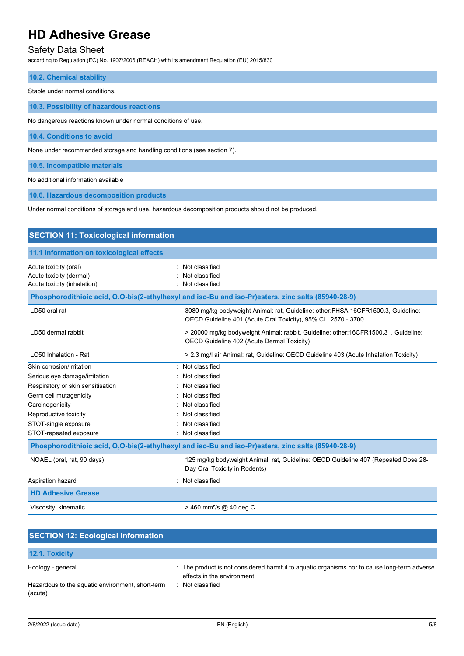# Safety Data Sheet

according to Regulation (EC) No. 1907/2006 (REACH) with its amendment Regulation (EU) 2015/830

**10.2. Chemical stability**

Stable under normal conditions.

**10.3. Possibility of hazardous reactions**

No dangerous reactions known under normal conditions of use.

**10.4. Conditions to avoid**

None under recommended storage and handling conditions (see section 7).

**10.5. Incompatible materials**

No additional information available

**10.6. Hazardous decomposition products**

Under normal conditions of storage and use, hazardous decomposition products should not be produced.

| <b>SECTION 11: Toxicological information</b>                                                       |                                                                                                                                                   |  |  |
|----------------------------------------------------------------------------------------------------|---------------------------------------------------------------------------------------------------------------------------------------------------|--|--|
| 11.1 Information on toxicological effects                                                          |                                                                                                                                                   |  |  |
| Acute toxicity (oral)<br>Acute toxicity (dermal)<br>Acute toxicity (inhalation)                    | Not classified<br>Not classified<br>Not classified                                                                                                |  |  |
|                                                                                                    | Phosphorodithioic acid, O,O-bis(2-ethylhexyl and iso-Bu and iso-Pr)esters, zinc salts (85940-28-9)                                                |  |  |
| LD50 oral rat                                                                                      | 3080 mg/kg bodyweight Animal: rat, Guideline: other:FHSA 16CFR1500.3, Guideline:<br>OECD Guideline 401 (Acute Oral Toxicity), 95% CL: 2570 - 3700 |  |  |
| LD50 dermal rabbit                                                                                 | > 20000 mg/kg bodyweight Animal: rabbit, Guideline: other:16CFR1500.3, Guideline:<br>OECD Guideline 402 (Acute Dermal Toxicity)                   |  |  |
| LC50 Inhalation - Rat                                                                              | > 2.3 mg/l air Animal: rat, Guideline: OECD Guideline 403 (Acute Inhalation Toxicity)                                                             |  |  |
| Skin corrosion/irritation                                                                          | : Not classified                                                                                                                                  |  |  |
| Serious eye damage/irritation                                                                      | Not classified                                                                                                                                    |  |  |
| Respiratory or skin sensitisation                                                                  | : Not classified                                                                                                                                  |  |  |
| Germ cell mutagenicity                                                                             | Not classified                                                                                                                                    |  |  |
| Carcinogenicity                                                                                    | Not classified                                                                                                                                    |  |  |
| Reproductive toxicity                                                                              | Not classified                                                                                                                                    |  |  |
| STOT-single exposure                                                                               | Not classified                                                                                                                                    |  |  |
| STOT-repeated exposure                                                                             | : Not classified                                                                                                                                  |  |  |
| Phosphorodithioic acid, O,O-bis(2-ethylhexyl and iso-Bu and iso-Pr)esters, zinc salts (85940-28-9) |                                                                                                                                                   |  |  |
| NOAEL (oral, rat, 90 days)                                                                         | 125 mg/kg bodyweight Animal: rat, Guideline: OECD Guideline 407 (Repeated Dose 28-<br>Day Oral Toxicity in Rodents)                               |  |  |
| Aspiration hazard                                                                                  | : Not classified                                                                                                                                  |  |  |
| <b>HD Adhesive Grease</b>                                                                          |                                                                                                                                                   |  |  |
| Viscosity, kinematic                                                                               | $> 460$ mm <sup>2</sup> /s @ 40 deg C                                                                                                             |  |  |

| <b>SECTION 12: Ecological information</b>                   |                                                                                                                            |
|-------------------------------------------------------------|----------------------------------------------------------------------------------------------------------------------------|
| <b>12.1. Toxicity</b>                                       |                                                                                                                            |
| Ecology - general                                           | : The product is not considered harmful to aquatic organisms nor to cause long-term adverse<br>effects in the environment. |
| Hazardous to the aquatic environment, short-term<br>(acute) | Not classified                                                                                                             |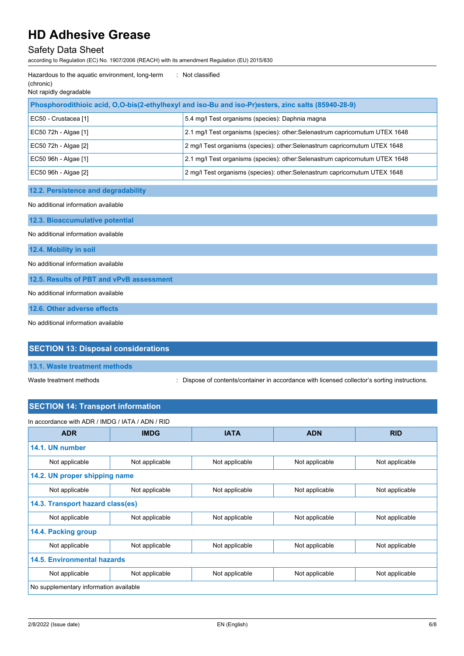# Safety Data Sheet

according to Regulation (EC) No. 1907/2006 (REACH) with its amendment Regulation (EU) 2015/830

| Hazardous to the aquatic environment, long-term<br>(chronic)<br>Not rapidly degradable             | : Not classified                                                              |  |  |
|----------------------------------------------------------------------------------------------------|-------------------------------------------------------------------------------|--|--|
| Phosphorodithioic acid, O,O-bis(2-ethylhexyl and iso-Bu and iso-Pr)esters, zinc salts (85940-28-9) |                                                                               |  |  |
| EC50 - Crustacea [1]                                                                               | 5.4 mg/l Test organisms (species): Daphnia magna                              |  |  |
| EC50 72h - Algae [1]                                                                               | 2.1 mg/l Test organisms (species): other: Selenastrum capricornutum UTEX 1648 |  |  |
| EC50 72h - Algae [2]                                                                               | 2 mg/l Test organisms (species): other: Selenastrum capricornutum UTEX 1648   |  |  |
| EC50 96h - Algae [1]                                                                               | 2.1 mg/l Test organisms (species): other:Selenastrum capricornutum UTEX 1648  |  |  |
| EC50 96h - Algae [2]                                                                               | 2 mg/l Test organisms (species): other: Selenastrum capricornutum UTEX 1648   |  |  |
| 12.2. Persistence and degradability                                                                |                                                                               |  |  |
| No additional information available                                                                |                                                                               |  |  |
| 12.3. Bioaccumulative potential                                                                    |                                                                               |  |  |
| No additional information available                                                                |                                                                               |  |  |
| 12.4. Mobility in soil                                                                             |                                                                               |  |  |
| No additional information available                                                                |                                                                               |  |  |
| 12.5. Results of PBT and vPvB assessment                                                           |                                                                               |  |  |
| No additional information available                                                                |                                                                               |  |  |
| 12.6. Other adverse effects                                                                        |                                                                               |  |  |
| No additional information available                                                                |                                                                               |  |  |

# **SECTION 13: Disposal considerations**

**13.1. Waste treatment methods**

Waste treatment methods : Dispose of contents/container in accordance with licensed collector's sorting instructions.

# **SECTION 14: Transport information**

| In accordance with ADR / IMDG / IATA / ADN / RID |                |                |                |                |  |
|--------------------------------------------------|----------------|----------------|----------------|----------------|--|
| <b>ADR</b>                                       | <b>IMDG</b>    | <b>IATA</b>    | <b>ADN</b>     | <b>RID</b>     |  |
| 14.1. UN number                                  |                |                |                |                |  |
| Not applicable                                   | Not applicable | Not applicable | Not applicable | Not applicable |  |
| 14.2. UN proper shipping name                    |                |                |                |                |  |
| Not applicable                                   | Not applicable | Not applicable | Not applicable | Not applicable |  |
| 14.3. Transport hazard class(es)                 |                |                |                |                |  |
| Not applicable                                   | Not applicable | Not applicable | Not applicable | Not applicable |  |
| 14.4. Packing group                              |                |                |                |                |  |
| Not applicable                                   | Not applicable | Not applicable | Not applicable | Not applicable |  |
| 14.5. Environmental hazards                      |                |                |                |                |  |
| Not applicable                                   | Not applicable | Not applicable | Not applicable | Not applicable |  |
| No supplementary information available           |                |                |                |                |  |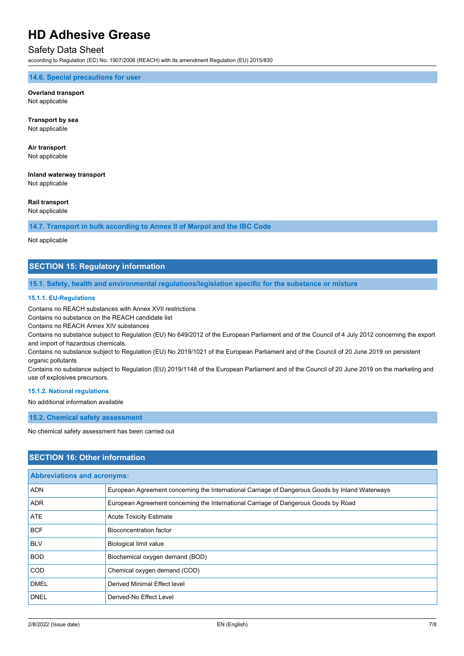# Safety Data Sheet

according to Regulation (EC) No. 1907/2006 (REACH) with its amendment Regulation (EU) 2015/830

## **14.6. Special precautions for user**

#### **Overland transport** Not applicable

**Transport by sea** Not applicable

**Air transport** Not applicable

**Inland waterway transport** Not applicable

## **Rail transport**

Not applicable

**14.7. Transport in bulk according to Annex II of Marpol and the IBC Code**

Not applicable

## **SECTION 15: Regulatory information**

**15.1. Safety, health and environmental regulations/legislation specific for the substance or mixture**

#### **15.1.1. EU-Regulations**

Contains no REACH substances with Annex XVII restrictions

Contains no substance on the REACH candidate list

Contains no REACH Annex XIV substances

Contains no substance subject to Regulation (EU) No 649/2012 of the European Parliament and of the Council of 4 July 2012 concerning the export and import of hazardous chemicals.

Contains no substance subject to Regulation (EU) No 2019/1021 of the European Parliament and of the Council of 20 June 2019 on persistent organic pollutants

Contains no substance subject to Regulation (EU) 2019/1148 of the European Parliament and of the Council of 20 June 2019 on the marketing and use of explosives precursors.

#### **15.1.2. National regulations**

No additional information available

**15.2. Chemical safety assessment**

No chemical safety assessment has been carried out

## **SECTION 16: Other information**

| <b>Abbreviations and acronyms:</b> |                                                                                                 |  |
|------------------------------------|-------------------------------------------------------------------------------------------------|--|
| <b>ADN</b>                         | European Agreement concerning the International Carriage of Dangerous Goods by Inland Waterways |  |
| <b>ADR</b>                         | European Agreement concerning the International Carriage of Dangerous Goods by Road             |  |
| ATE                                | <b>Acute Toxicity Estimate</b>                                                                  |  |
| <b>BCF</b>                         | <b>Bioconcentration factor</b>                                                                  |  |
| <b>BLV</b>                         | <b>Biological limit value</b>                                                                   |  |
| <b>BOD</b>                         | Biochemical oxygen demand (BOD)                                                                 |  |
| <b>COD</b>                         | Chemical oxygen demand (COD)                                                                    |  |
| <b>DMEL</b>                        | Derived Minimal Effect level                                                                    |  |
| <b>DNEL</b>                        | Derived-No Effect Level                                                                         |  |